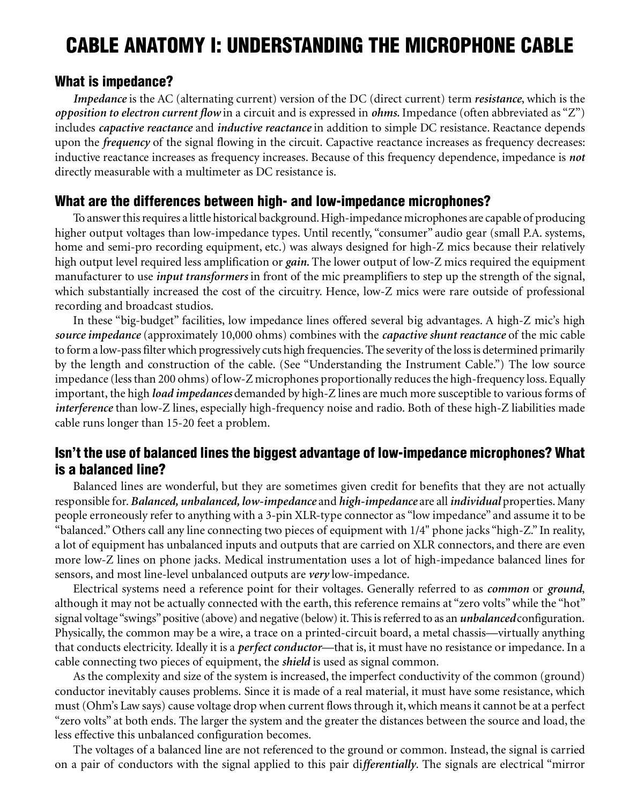# CABLE ANATOMY I: UNDERSTANDING THE MICROPHONE CABLE

## What is impedance?

*Impedance* is the AC (alternating current) version of the DC (direct current) term *resistance*, which is the *opposition to electron current flow* in a circuit and is expressed in *ohms.* Impedance (often abbreviated as "Z") includes *capactive reactance* and *inductive reactance* in addition to simple DC resistance. Reactance depends upon the *frequency* of the signal flowing in the circuit. Capactive reactance increases as frequency decreases: inductive reactance increases as frequency increases. Because of this frequency dependence, impedance is *not* directly measurable with a multimeter as DC resistance is.

## What are the differences between high- and low-impedance microphones?

To answer this requires a little historical background. High-impedance microphones are capable of producing higher output voltages than low-impedance types. Until recently, "consumer" audio gear (small P.A. systems, home and semi-pro recording equipment, etc.) was always designed for high-Z mics because their relatively high output level required less amplification or *gain.* The lower output of low-Z mics required the equipment manufacturer to use *input transformers* in front of the mic preamplifiers to step up the strength of the signal, which substantially increased the cost of the circuitry. Hence, low-Z mics were rare outside of professional recording and broadcast studios.

In these "big-budget" facilities, low impedance lines offered several big advantages. A high-Z mic's high *source impedance* (approximately 10,000 ohms) combines with the *capactive shunt reactance* of the mic cable to form a low-pass filter which progressively cuts high frequencies. The severity of the loss is determined primarily by the length and construction of the cable. (See "Understanding the Instrument Cable.") The low source impedance (less than 200 ohms) of low-Z microphones proportionally reduces the high-frequency loss. Equally important, the high *load impedances* demanded by high-Z lines are much more susceptible to various forms of *interference* than low-Z lines, especially high-frequency noise and radio. Both of these high-Z liabilities made cable runs longer than 15-20 feet a problem.

# Isn't the use of balanced lines the biggest advantage of low-impedance microphones? What is a balanced line?

Balanced lines are wonderful, but they are sometimes given credit for benefits that they are not actually responsible for. *Balanced, unbalanced, low-impedance* and *high-impedance* are all *individual* properties. Many people erroneously refer to anything with a 3-pin XLR-type connector as "low impedance" and assume it to be "balanced." Others call any line connecting two pieces of equipment with 1/4" phone jacks "high-Z." In reality, a lot of equipment has unbalanced inputs and outputs that are carried on XLR connectors, and there are even more low-Z lines on phone jacks. Medical instrumentation uses a lot of high-impedance balanced lines for sensors, and most line-level unbalanced outputs are *very* low-impedance.

Electrical systems need a reference point for their voltages. Generally referred to as *common* or *ground*, although it may not be actually connected with the earth, this reference remains at "zero volts" while the "hot" signal voltage "swings" positive (above) and negative (below) it. This is referred to as an *unbalanced* configuration. Physically, the common may be a wire, a trace on a printed-circuit board, a metal chassis—virtually anything that conducts electricity. Ideally it is a *perfect conductor*—that is, it must have no resistance or impedance. In a cable connecting two pieces of equipment, the *shield* is used as signal common.

As the complexity and size of the system is increased, the imperfect conductivity of the common (ground) conductor inevitably causes problems. Since it is made of a real material, it must have some resistance, which must (Ohm's Law says) cause voltage drop when current flows through it, which means it cannot be at a perfect "zero volts" at both ends. The larger the system and the greater the distances between the source and load, the less effective this unbalanced configuration becomes.

The voltages of a balanced line are not referenced to the ground or common. Instead, the signal is carried on a pair of conductors with the signal applied to this pair di*fferentially*. The signals are electrical "mirror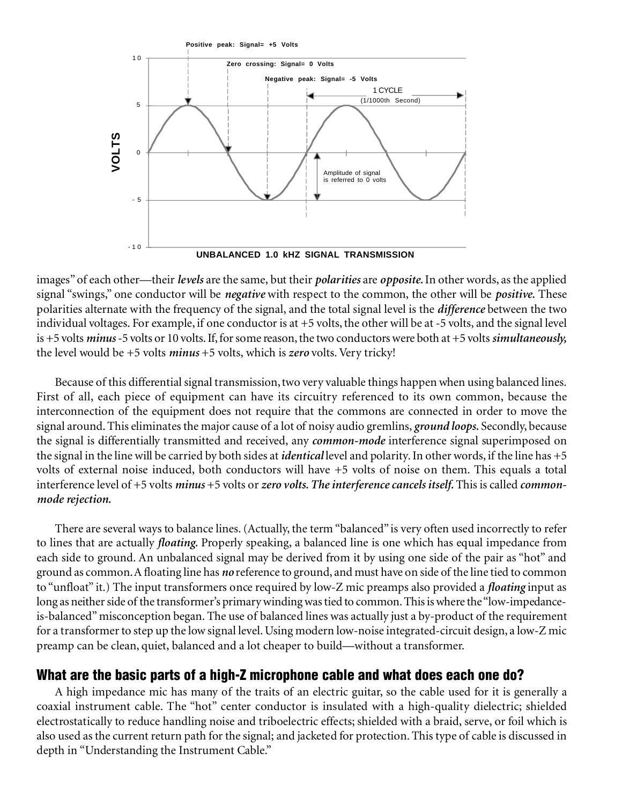

images" of each other—their *levels* are the same, but their *polarities* are *opposite.* In other words, as the applied signal "swings," one conductor will be *negative* with respect to the common, the other will be *positive.* These polarities alternate with the frequency of the signal, and the total signal level is the *difference* between the two individual voltages. For example, if one conductor is at +5 volts, the other will be at -5 volts, and the signal level is +5 volts *minus* -5 volts or 10 volts. If, for some reason, the two conductors were both at +5 volts *simultaneously,* the level would be +5 volts *minus* +5 volts, which is *zero* volts. Very tricky!

Because of this differential signal transmission, two very valuable things happen when using balanced lines. First of all, each piece of equipment can have its circuitry referenced to its own common, because the interconnection of the equipment does not require that the commons are connected in order to move the signal around. This eliminates the major cause of a lot of noisy audio gremlins, *ground loops.* Secondly, because the signal is differentially transmitted and received, any *common-mode* interference signal superimposed on the signal in the line will be carried by both sides at *identical* level and polarity. In other words, if the line has +5 volts of external noise induced, both conductors will have +5 volts of noise on them. This equals a total interference level of +5 volts *minus* +5 volts or *zero volts. The interference cancels itself.* This is called *commonmode rejection.* **Example 19**<br> **Example 19**<br> **Example 19**<br> **Example 19**<br> **Example 19**<br> **Example 19**<br> **Example 19**<br> **Example 19**<br> **Example 19**<br> **Example 19**<br> **Example 15**<br> **Example 15**<br> **Example 15**<br> **Example 15**<br> **Example 11**<br> **Example 11** 

There are several ways to balance lines. (Actually, the term "balanced" is very often used incorrectly to refer to lines that are actually *floating.* Properly speaking, a balanced line is one which has equal impedance from each side to ground. An unbalanced signal may be derived from it by using one side of the pair as "hot" and ground as common. A floating line has *no* reference to ground, and must have on side of the line tied to common to "unfloat" it.) The input transformers once required by low-Z mic preamps also provided a *floating* input as long as neither side of the transformer's primary winding was tied to common. This is where the "low-impedanceis-balanced" misconception began. The use of balanced lines was actually just a by-product of the requirement for a transformer to step up the low signal level. Using modern low-noise integrated-circuit design, a low-Z mic preamp can be clean, quiet, balanced and a lot cheaper to build—without a transformer.

# What are the basic parts of a high-Z microphone cable and what does each one do?

A high impedance mic has many of the traits of an electric guitar, so the cable used for it is generally a coaxial instrument cable. The "hot" center conductor is insulated with a high-quality dielectric; shielded electrostatically to reduce handling noise and triboelectric effects; shielded with a braid, serve, or foil which is also used as the current return path for the signal; and jacketed for protection. This type of cable is discussed in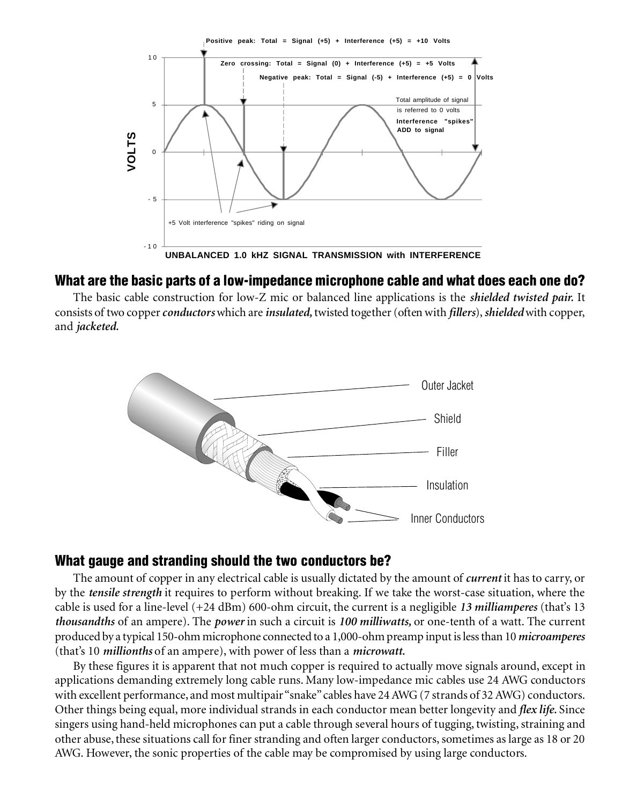

# What are the basic parts of a low-impedance microphone cable and what does each one do?

The basic cable construction for low-Z mic or balanced line applications is the *shielded twisted pair.* It consists of two copper *conductors* which are *insulated,* twisted together (often with *fillers*), *shielded* with copper, and *jacketed.*



# What gauge and stranding should the two conductors be?

The amount of copper in any electrical cable is usually dictated by the amount of *current* it has to carry, or by the *tensile strength* it requires to perform without breaking. If we take the worst-case situation, where the cable is used for a line-level (+24 dBm) 600-ohm circuit, the current is a negligible *13 milliamperes* (that's 13 *thousandths* of an ampere). The *power* in such a circuit is *100 milliwatts,* or one-tenth of a watt. The current produced by a typical 150-ohm microphone connected to a 1,000-ohm preamp input is less than 10 *microamperes* (that's 10 *millionths* of an ampere), with power of less than a *microwatt.*

By these figures it is apparent that not much copper is required to actually move signals around, except in applications demanding extremely long cable runs. Many low-impedance mic cables use 24 AWG conductors with excellent performance, and most multipair "snake" cables have 24 AWG (7 strands of 32 AWG) conductors. Other things being equal, more individual strands in each conductor mean better longevity and *flex life.* Since singers using hand-held microphones can put a cable through several hours of tugging, twisting, straining and other abuse, these situations call for finer stranding and often larger conductors, sometimes as large as 18 or 20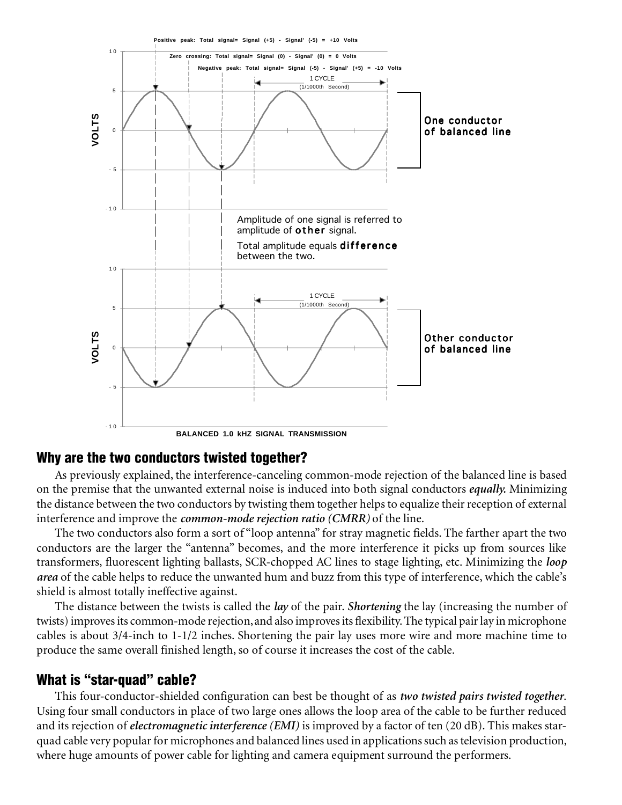

# Why are the two conductors twisted together?

As previously explained, the interference-canceling common-mode rejection of the balanced line is based on the premise that the unwanted external noise is induced into both signal conductors *equally.* Minimizing the distance between the two conductors by twisting them together helps to equalize their reception of external interference and improve the *common-mode rejection ratio (CMRR)* of the line.

The two conductors also form a sort of "loop antenna" for stray magnetic fields. The farther apart the two conductors are the larger the "antenna" becomes, and the more interference it picks up from sources like transformers, fluorescent lighting ballasts, SCR-chopped AC lines to stage lighting, etc. Minimizing the *loop area* of the cable helps to reduce the unwanted hum and buzz from this type of interference, which the cable's shield is almost totally ineffective against.

The distance between the twists is called the *lay* of the pair. *Shortening* the lay (increasing the number of twists) improves its common-mode rejection, and also improves its flexibility. The typical pair lay in microphone cables is about 3/4-inch to 1-1/2 inches. Shortening the pair lay uses more wire and more machine time to produce the same overall finished length, so of course it increases the cost of the cable.

# What is "star-quad" cable?

This four-conductor-shielded configuration can best be thought of as *two twisted pairs twisted together*. Using four small conductors in place of two large ones allows the loop area of the cable to be further reduced and its rejection of *electromagnetic interference (EMI)* is improved by a factor of ten (20 dB). This makes starquad cable very popular for microphones and balanced lines used in applications such as television production, where huge amounts of power cable for lighting and camera equipment surround the performers.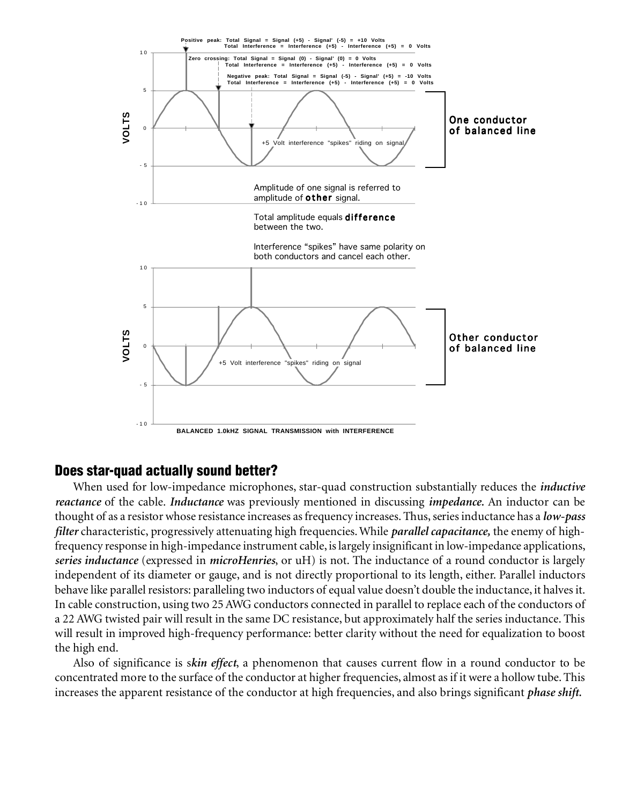

# Does star-quad actually sound better?

When used for low-impedance microphones, star-quad construction substantially reduces the *inductive reactance* of the cable. *Inductance* was previously mentioned in discussing *impedance.* An inductor can be thought of as a resistor whose resistance increases as frequency increases. Thus, series inductance has a *low-pass filter* characteristic, progressively attenuating high frequencies. While *parallel capacitance,* the enemy of highfrequency response in high-impedance instrument cable, is largely insignificant in low-impedance applications, *series inductance* (expressed in *microHenries*, or uH) is not. The inductance of a round conductor is largely independent of its diameter or gauge, and is not directly proportional to its length, either. Parallel inductors behave like parallel resistors: paralleling two inductors of equal value doesn't double the inductance, it halves it. In cable construction, using two 25 AWG conductors connected in parallel to replace each of the conductors of a 22 AWG twisted pair will result in the same DC resistance, but approximately half the series inductance. This will result in improved high-frequency performance: better clarity without the need for equalization to boost the high end.

Also of significance is s*kin effect*, a phenomenon that causes current flow in a round conductor to be concentrated more to the surface of the conductor at higher frequencies, almost as if it were a hollow tube. This increases the apparent resistance of the conductor at high frequencies, and also brings significant *phase shift.*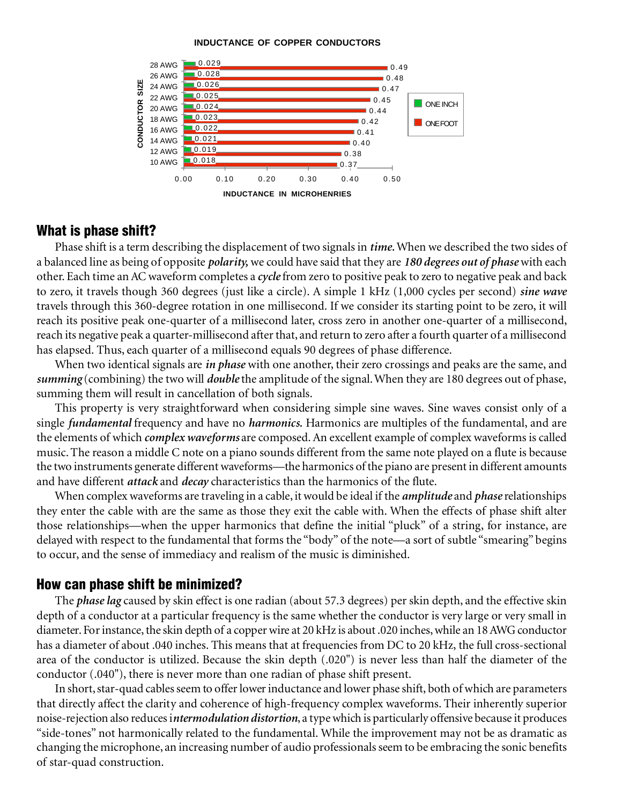#### **INDUCTANCE OF COPPER CONDUCTORS**



## What is phase shift?

Phase shift is a term describing the displacement of two signals in *time.* When we described the two sides of a balanced line as being of opposite *polarity,* we could have said that they are *180 degrees out of phase* with each other. Each time an AC waveform completes a *cycle* from zero to positive peak to zero to negative peak and back to zero, it travels though 360 degrees (just like a circle). A simple 1 kHz (1,000 cycles per second) *sine wave* travels through this 360-degree rotation in one millisecond. If we consider its starting point to be zero, it will reach its positive peak one-quarter of a millisecond later, cross zero in another one-quarter of a millisecond, reach its negative peak a quarter-millisecond after that, and return to zero after a fourth quarter of a millisecond has elapsed. Thus, each quarter of a millisecond equals 90 degrees of phase difference.

When two identical signals are *in phase* with one another, their zero crossings and peaks are the same, and *summing* (combining) the two will *double* the amplitude of the signal. When they are 180 degrees out of phase, summing them will result in cancellation of both signals.

This property is very straightforward when considering simple sine waves. Sine waves consist only of a single *fundamental* frequency and have no *harmonics.* Harmonics are multiples of the fundamental, and are the elements of which *complex waveforms* are composed. An excellent example of complex waveforms is called music. The reason a middle C note on a piano sounds different from the same note played on a flute is because the two instruments generate different waveforms—the harmonics of the piano are present in different amounts and have different *attack* and *decay* characteristics than the harmonics of the flute.

When complex waveforms are traveling in a cable, it would be ideal if the *amplitude* and *phase* relationships they enter the cable with are the same as those they exit the cable with. When the effects of phase shift alter those relationships—when the upper harmonics that define the initial "pluck" of a string, for instance, are delayed with respect to the fundamental that forms the "body" of the note—a sort of subtle "smearing" begins to occur, and the sense of immediacy and realism of the music is diminished.

### How can phase shift be minimized?

The *phase lag* caused by skin effect is one radian (about 57.3 degrees) per skin depth, and the effective skin depth of a conductor at a particular frequency is the same whether the conductor is very large or very small in diameter. For instance, the skin depth of a copper wire at 20 kHz is about .020 inches, while an 18 AWG conductor has a diameter of about .040 inches. This means that at frequencies from DC to 20 kHz, the full cross-sectional area of the conductor is utilized. Because the skin depth (.020") is never less than half the diameter of the conductor (.040"), there is never more than one radian of phase shift present.

In short, star-quad cables seem to offer lower inductance and lower phase shift, both of which are parameters that directly affect the clarity and coherence of high-frequency complex waveforms. Their inherently superior noise-rejection also reduces i*ntermodulation distortion*, a type which is particularly offensive because it produces "side-tones" not harmonically related to the fundamental. While the improvement may not be as dramatic as changing the microphone, an increasing number of audio professionals seem to be embracing the sonic benefits of star-quad construction.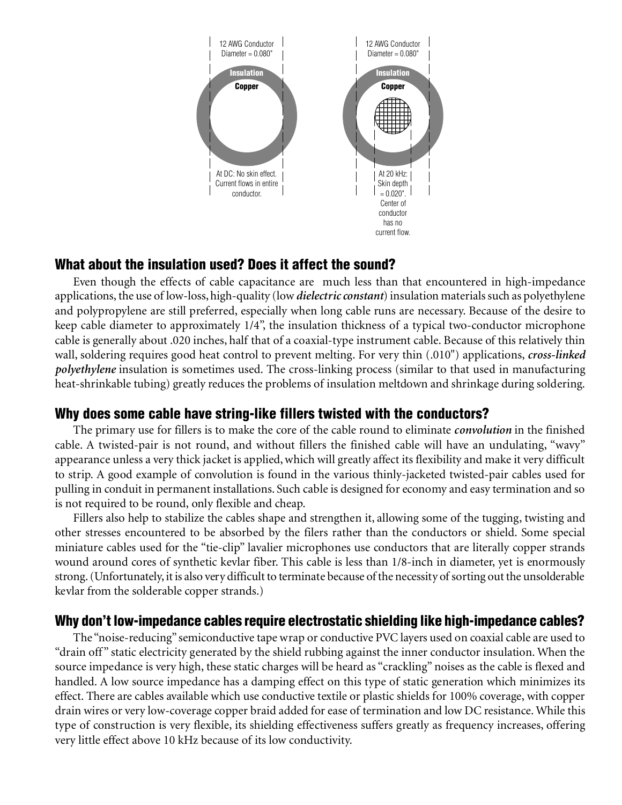

# What about the insulation used? Does it affect the sound?

Even though the effects of cable capacitance are much less than that encountered in high-impedance applications, the use of low-loss, high-quality (low *dielectric constant*) insulation materials such as polyethylene and polypropylene are still preferred, especially when long cable runs are necessary. Because of the desire to keep cable diameter to approximately 1/4", the insulation thickness of a typical two-conductor microphone cable is generally about .020 inches, half that of a coaxial-type instrument cable. Because of this relatively thin wall, soldering requires good heat control to prevent melting. For very thin (.010") applications, *cross-linked polyethylene* insulation is sometimes used. The cross-linking process (similar to that used in manufacturing heat-shrinkable tubing) greatly reduces the problems of insulation meltdown and shrinkage during soldering.

# Why does some cable have string-like fillers twisted with the conductors?

The primary use for fillers is to make the core of the cable round to eliminate *convolution* in the finished cable. A twisted-pair is not round, and without fillers the finished cable will have an undulating, "wavy" appearance unless a very thick jacket is applied, which will greatly affect its flexibility and make it very difficult to strip. A good example of convolution is found in the various thinly-jacketed twisted-pair cables used for pulling in conduit in permanent installations. Such cable is designed for economy and easy termination and so is not required to be round, only flexible and cheap.

Fillers also help to stabilize the cables shape and strengthen it, allowing some of the tugging, twisting and other stresses encountered to be absorbed by the filers rather than the conductors or shield. Some special miniature cables used for the "tie-clip" lavalier microphones use conductors that are literally copper strands wound around cores of synthetic kevlar fiber. This cable is less than 1/8-inch in diameter, yet is enormously strong. (Unfortunately, it is also very difficult to terminate because of the necessity of sorting out the unsolderable kevlar from the solderable copper strands.)

# Why don't low-impedance cables require electrostatic shielding like high-impedance cables?

The "noise-reducing" semiconductive tape wrap or conductive PVC layers used on coaxial cable are used to "drain off " static electricity generated by the shield rubbing against the inner conductor insulation. When the source impedance is very high, these static charges will be heard as "crackling" noises as the cable is flexed and handled. A low source impedance has a damping effect on this type of static generation which minimizes its effect. There are cables available which use conductive textile or plastic shields for 100% coverage, with copper drain wires or very low-coverage copper braid added for ease of termination and low DC resistance. While this type of construction is very flexible, its shielding effectiveness suffers greatly as frequency increases, offering very little effect above 10 kHz because of its low conductivity.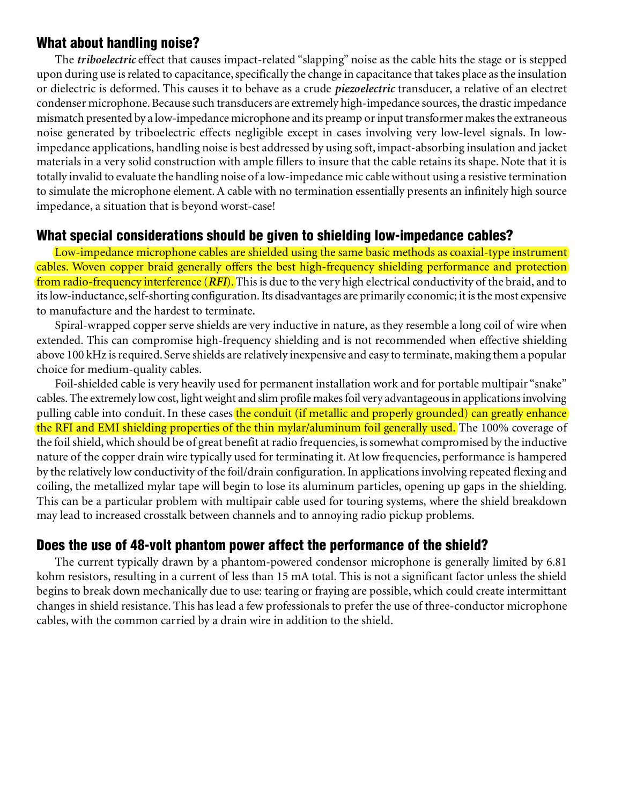# What about handling noise?

The *triboelectric* effect that causes impact-related "slapping" noise as the cable hits the stage or is stepped upon during use is related to capacitance, specifically the change in capacitance that takes place as the insulation or dielectric is deformed. This causes it to behave as a crude *piezoelectric* transducer, a relative of an electret condenser microphone. Because such transducers are extremely high-impedance sources, the drastic impedance mismatch presented by a low-impedance microphone and its preamp or input transformer makes the extraneous noise generated by triboelectric effects negligible except in cases involving very low-level signals. In lowimpedance applications, handling noise is best addressed by using soft, impact-absorbing insulation and jacket materials in a very solid construction with ample fillers to insure that the cable retains its shape. Note that it is totally invalid to evaluate the handling noise of a low-impedance mic cable without using a resistive termination to simulate the microphone element. A cable with no termination essentially presents an infinitely high source impedance, a situation that is beyond worst-case!

# What special considerations should be given to shielding low-impedance cables?

Low-impedance microphone cables are shielded using the same basic methods as coaxial-type instrument cables. Woven copper braid generally offers the best high-frequency shielding performance and protection from radio-frequency interference (*RFI*). This is due to the very high electrical conductivity of the braid, and to its low-inductance, self-shorting configuration. Its disadvantages are primarily economic; it is the most expensive to manufacture and the hardest to terminate.

Spiral-wrapped copper serve shields are very inductive in nature, as they resemble a long coil of wire when extended. This can compromise high-frequency shielding and is not recommended when effective shielding above 100 kHz is required. Serve shields are relatively inexpensive and easy to terminate, making them a popular choice for medium-quality cables.

Foil-shielded cable is very heavily used for permanent installation work and for portable multipair "snake" cables. The extremely low cost, light weight and slim profile makes foil very advantageous in applications involving pulling cable into conduit. In these cases the conduit (if metallic and properly grounded) can greatly enhance the RFI and EMI shielding properties of the thin mylar/aluminum foil generally used. The 100% coverage of the foil shield, which should be of great benefit at radio frequencies, is somewhat compromised by the inductive nature of the copper drain wire typically used for terminating it. At low frequencies, performance is hampered by the relatively low conductivity of the foil/drain configuration. In applications involving repeated flexing and coiling, the metallized mylar tape will begin to lose its aluminum particles, opening up gaps in the shielding. This can be a particular problem with multipair cable used for touring systems, where the shield breakdown may lead to increased crosstalk between channels and to annoying radio pickup problems.

# Does the use of 48-volt phantom power affect the performance of the shield?

The current typically drawn by a phantom-powered condensor microphone is generally limited by 6.81 kohm resistors, resulting in a current of less than 15 mA total. This is not a significant factor unless the shield begins to break down mechanically due to use: tearing or fraying are possible, which could create intermittant changes in shield resistance. This has lead a few professionals to prefer the use of three-conductor microphone cables, with the common carried by a drain wire in addition to the shield.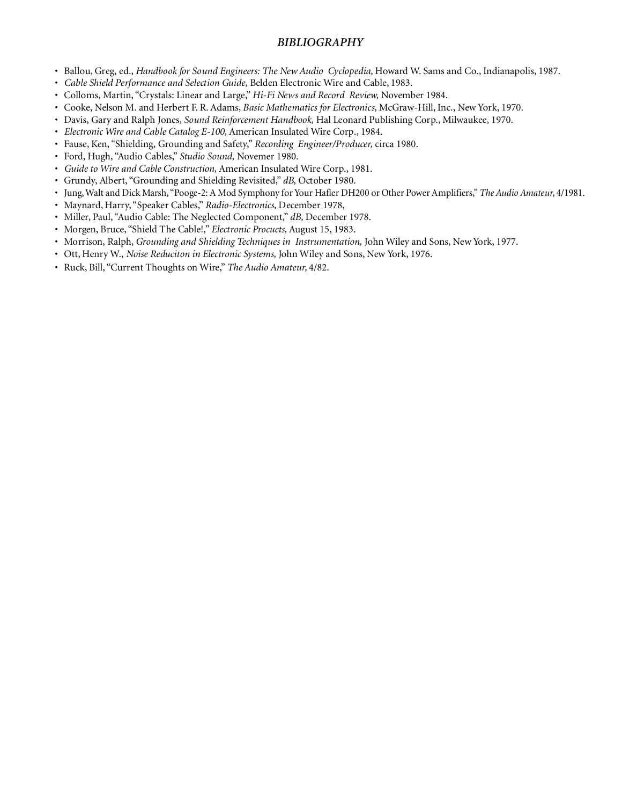### *BIBLIOGRAPHY*

- Ballou, Greg, ed., *Handbook for Sound Engineers: The New Audio Cyclopedia,* Howard W. Sams and Co., Indianapolis, 1987.
- *Cable Shield Performance and Selection Guide,* Belden Electronic Wire and Cable, 1983.
- Colloms, Martin, "Crystals: Linear and Large," *Hi-Fi News and Record Review,* November 1984.
- Cooke, Nelson M. and Herbert F. R. Adams, *Basic Mathematics for Electronics,* McGraw-Hill, Inc., New York, 1970.
- Davis, Gary and Ralph Jones, *Sound Reinforcement Handbook,* Hal Leonard Publishing Corp., Milwaukee, 1970.
- *Electronic Wire and Cable Catalog E-100,* American Insulated Wire Corp., 1984.
- Fause, Ken, "Shielding, Grounding and Safety," *Recording Engineer/Producer,* circa 1980.
- Ford, Hugh, "Audio Cables," *Studio Sound,* Novemer 1980.
- *Guide to Wire and Cable Construction,* American Insulated Wire Corp., 1981.
- Grundy, Albert, "Grounding and Shielding Revisited," *dB*, October 1980.
- Jung, Walt and Dick Marsh, "Pooge-2: A Mod Symphony for Your Hafler DH200 or Other Power Amplifiers," *The Audio Amateur,* 4/1981.
- Maynard, Harry, "Speaker Cables," *Radio-Electronics,* December 1978,
- Miller, Paul, "Audio Cable: The Neglected Component," *dB,* December 1978.
- Morgen, Bruce, "Shield The Cable!," *Electronic Procucts,* August 15, 1983.
- Morrison, Ralph, *Grounding and Shielding Techniques in Instrumentation,* John Wiley and Sons, New York, 1977.
- Ott, Henry W., *Noise Reduciton in Electronic Systems,* John Wiley and Sons, New York, 1976.
- Ruck, Bill, "Current Thoughts on Wire," *The Audio Amateur,* 4/82.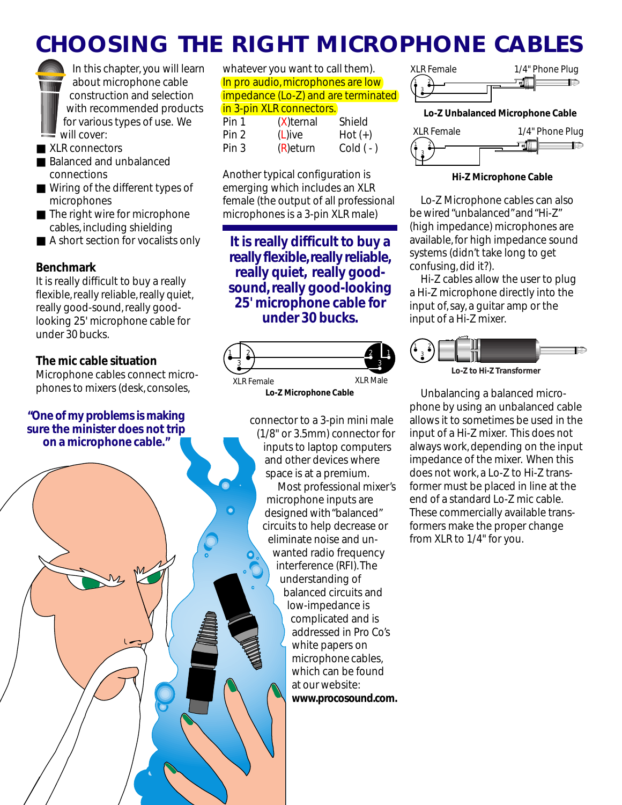# **CHOOSING THE RIGHT MICROPHONE CABLES**

In this chapter, you will learn about microphone cable construction and selection with recommended products for various types of use. We will cover:

- XLR connectors
- Balanced and unbalanced connections
- Wiring of the different types of microphones
- The right wire for microphone cables, including shielding
- A short section for vocalists only

## **Benchmark**

It is really difficult to buy a really flexible, really reliable, really quiet, really good-sound, really goodlooking 25' microphone cable for under 30 bucks.

## **The mic cable situation**

Microphone cables connect microphones to mixers (desk, consoles,

## **"One of my problems is making sure the minister does not trip on a microphone cable."**

whatever you want to call them). In pro audio, microphones are low impedance (Lo-Z) and are terminated in 3-pin XLR connectors.

| Pin 1 | $(X)$ ternal | Shield    |
|-------|--------------|-----------|
| Pin 2 | $(L)$ ive    | $Hot (+)$ |
| Pin 3 | $(R)$ eturn  | $Cold(-)$ |

Another typical configuration is emerging which includes an XLR female (the output of all professional microphones is a 3-pin XLR male)

**It is really difficult to buy a really flexible, really reliable, really quiet, really goodsound, really good-looking 25' microphone cable for under 30 bucks.**



**Lo-Z Microphone Cable**

connector to a 3-pin mini male (1/8" or 3.5mm) connector for inputs to laptop computers and other devices where space is at a premium. Most professional mixer's microphone inputs are designed with "balanced" circuits to help decrease or eliminate noise and unwanted radio frequency interference (RFI). The understanding of balanced circuits and low-impedance is complicated and is addressed in Pro Co's white papers on microphone cables, which can be found at our website: **www.procosound.com.**



**Lo-Z Unbalanced Microphone Cable**



#### **Hi-Z Microphone Cable**

Lo-Z Microphone cables can also be wired "unbalanced" and "Hi-Z" (high impedance) microphones are available, for high impedance sound systems (didn't take long to get confusing, did it?).

Hi-Z cables allow the user to plug a Hi-Z microphone directly into the input of, say, a guitar amp or the input of a Hi-Z mixer.



**Lo-Z to Hi-Z Transformer**

Unbalancing a balanced microphone by using an unbalanced cable allows it to sometimes be used in the input of a Hi-Z mixer. This does not always work, depending on the input impedance of the mixer. When this does not work, a Lo-Z to Hi-Z transformer must be placed in line at the end of a standard Lo-Z mic cable. These commercially available transformers make the proper change from XLR to 1/4" for you.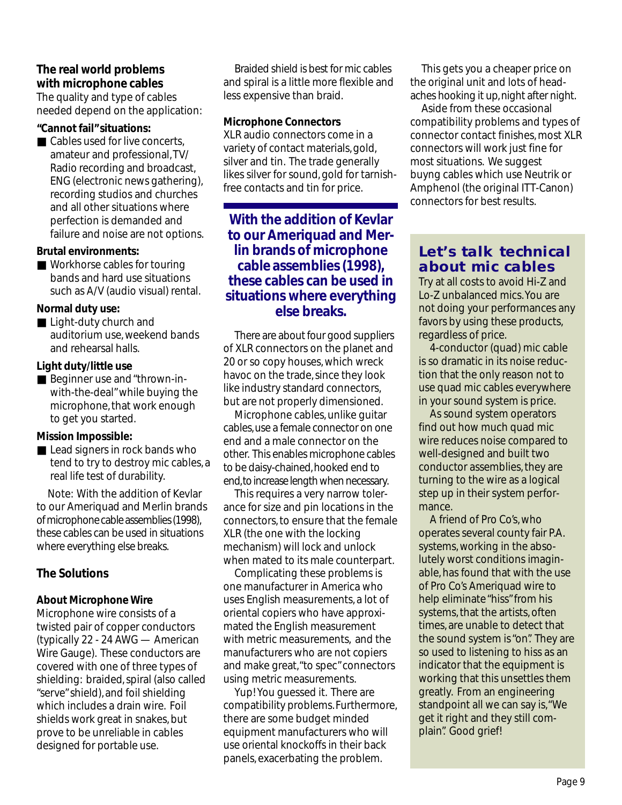## **The real world problems with microphone cables**

The quality and type of cables needed depend on the application:

### **"Cannot fail" situations:**

■ Cables used for live concerts, amateur and professional, TV/ Radio recording and broadcast, ENG (electronic news gathering), recording studios and churches and all other situations where perfection is demanded and failure and noise are not options.

### **Brutal environments:**

■ Workhorse cables for touring bands and hard use situations such as A/V (audio visual) rental.

## **Normal duty use:**

■ Light-duty church and auditorium use, weekend bands and rehearsal halls.

## **Light duty/little use**

■ Beginner use and "thrown-inwith-the-deal" while buying the microphone, that work enough to get you started.

## **Mission Impossible:**

■ Lead signers in rock bands who tend to try to destroy mic cables, a real life test of durability.

Note: With the addition of Kevlar to our Ameriquad and Merlin brands of microphone cable assemblies (1998), these cables can be used in situations where everything else breaks.

# **The Solutions**

## **About Microphone Wire**

Microphone wire consists of a twisted pair of copper conductors (typically 22 - 24 AWG — American Wire Gauge). These conductors are covered with one of three types of shielding: braided, spiral (also called "serve" shield), and foil shielding which includes a drain wire. Foil shields work great in snakes, but prove to be unreliable in cables designed for portable use.

Braided shield is best for mic cables and spiral is a little more flexible and less expensive than braid.

## **Microphone Connectors**

XLR audio connectors come in a variety of contact materials, gold, silver and tin. The trade generally likes silver for sound, gold for tarnishfree contacts and tin for price.

**With the addition of Kevlar to our Ameriquad and Merlin brands of microphone cable assemblies (1998), these cables can be used in situations where everything else breaks.**

There are about four good suppliers of XLR connectors on the planet and 20 or so copy houses, which wreck havoc on the trade, since they look like industry standard connectors, but are not properly dimensioned.

Microphone cables, unlike guitar cables, use a female connector on one end and a male connector on the other. This enables microphone cables to be daisy-chained, hooked end to end, to increase length when necessary.

This requires a very narrow tolerance for size and pin locations in the connectors, to ensure that the female XLR (the one with the locking mechanism) will lock and unlock when mated to its male counterpart.

Complicating these problems is one manufacturer in America who uses English measurements, a lot of oriental copiers who have approximated the English measurement with metric measurements, and the manufacturers who are not copiers and make great, "to spec" connectors using metric measurements.

Yup! You guessed it. There are compatibility problems. Furthermore, there are some budget minded equipment manufacturers who will use oriental knockoffs in their back panels, exacerbating the problem.

This gets you a cheaper price on the original unit and lots of headaches hooking it up, night after night.

Aside from these occasional compatibility problems and types of connector contact finishes, most XLR connectors will work just fine for most situations. We suggest buyng cables which use Neutrik or Amphenol (the original ITT-Canon) connectors for best results.

# **Let's talk technical about mic cables**

Try at all costs to avoid Hi-Z and Lo-Z unbalanced mics. You are not doing your performances any favors by using these products, regardless of price.

4-conductor (quad) mic cable is so dramatic in its noise reduction that the only reason not to use quad mic cables everywhere in your sound system is price.

As sound system operators find out how much quad mic wire reduces noise compared to well-designed and built two conductor assemblies, they are turning to the wire as a logical step up in their system performance.

A friend of Pro Co's, who operates several county fair P.A. systems, working in the absolutely worst conditions imaginable, has found that with the use of Pro Co's Ameriquad wire to help eliminate "hiss" from his systems, that the artists, often times, are unable to detect that the sound system is "on". They are so used to listening to hiss as an indicator that the equipment is working that this unsettles them greatly. From an engineering standpoint all we can say is, "We get it right and they still complain". Good grief!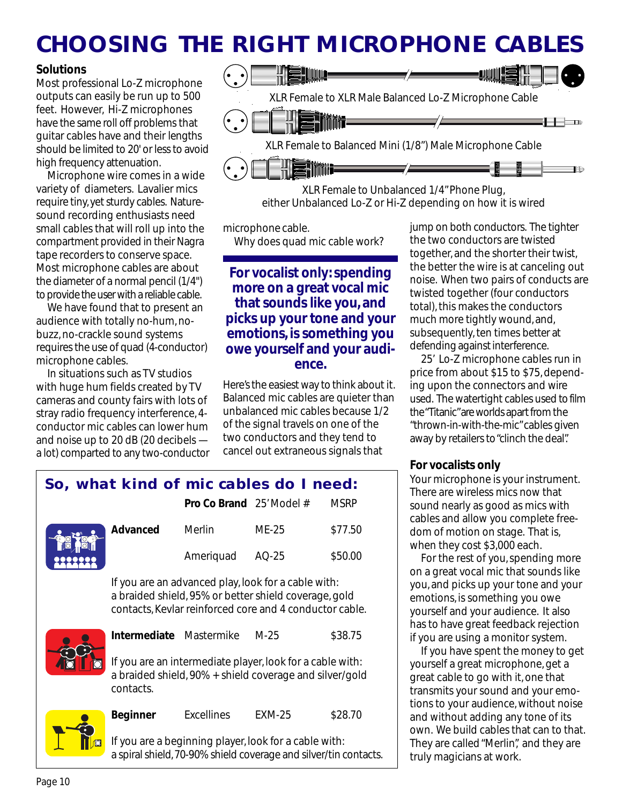# **CHOOSING THE RIGHT MICROPHONE CABLES**

## **Solutions**

Most professional Lo-Z microphone outputs can easily be run up to 500 feet. However, Hi-Z microphones have the same roll off problems that guitar cables have and their lengths should be limited to 20' or less to avoid high frequency attenuation.

Microphone wire comes in a wide variety of diameters. Lavalier mics require tiny, yet sturdy cables. Naturesound recording enthusiasts need small cables that will roll up into the compartment provided in their Nagra tape recorders to conserve space. Most microphone cables are about the diameter of a normal pencil (1/4") to provide the user with a reliable cable.

We have found that to present an audience with totally no-hum, nobuzz, no-crackle sound systems requires the use of quad (4-conductor) microphone cables.

In situations such as TV studios with huge hum fields created by TV cameras and county fairs with lots of stray radio frequency interference, 4 conductor mic cables can lower hum and noise up to 20 dB (20 decibels a lot) comparted to any two-conductor



XLR Female to Unbalanced 1/4" Phone Plug, either Unbalanced Lo-Z or Hi-Z depending on how it is wired

microphone cable.

Why does quad mic cable work?

# **For vocalist only: spending more on a great vocal mic that sounds like you, and picks up your tone and your emotions, is something you owe yourself and your audience.**

Here's the easiest way to think about it. Balanced mic cables are quieter than unbalanced mic cables because 1/2 of the signal travels on one of the two conductors and they tend to cancel out extraneous signals that

jump on both conductors. The tighter the two conductors are twisted together, and the shorter their twist, the better the wire is at canceling out noise. When two pairs of conducts are twisted together (four conductors total), this makes the conductors much more tightly wound, and, subsequently, ten times better at defending against interference.

25' Lo-Z microphone cables run in price from about \$15 to \$75, depending upon the connectors and wire used. The watertight cables used to film the "Titanic" are worlds apart from the "thrown-in-with-the-mic" cables given away by retailers to "clinch the deal".

# **For vocalists only**

Your microphone is your instrument. There are wireless mics now that sound nearly as good as mics with cables and allow you complete freedom of motion on stage. That is, when they cost \$3,000 each.

For the rest of you, spending more on a great vocal mic that sounds like you, and picks up your tone and your emotions, is something you owe yourself and your audience. It also has to have great feedback rejection if you are using a monitor system.

If you have spent the money to get yourself a great microphone, get a great cable to go with it, one that transmits your sound and your emotions to your audience, without noise and without adding any tone of its own. We build cables that can to that. They are called "Merlin", and they are truly magicians at work.

# **So, what kind of mic cables do I need:**

|                        |          | <b>Pro Co Brand</b> 25' Model # |       | <b>MSRP</b> |
|------------------------|----------|---------------------------------|-------|-------------|
| $\frac{1}{2}$<br>99999 | Advanced | Merlin                          | MF-25 | \$77.50     |
|                        |          | Ameriquad AQ-25                 |       | \$50.00     |

If you are an advanced play, look for a cable with: a braided shield, 95% or better shield coverage, gold contacts, Kevlar reinforced core and 4 conductor cable.



**Intermediate** Mastermike M-25 \$38.75

If you are an intermediate player, look for a cable with: a braided shield, 90% + shield coverage and silver/gold contacts.

**Beginner** Excellines EXM-25 \$28.70



If you are a beginning player, look for a cable with: a spiral shield, 70-90% shield coverage and silver/tin contacts.